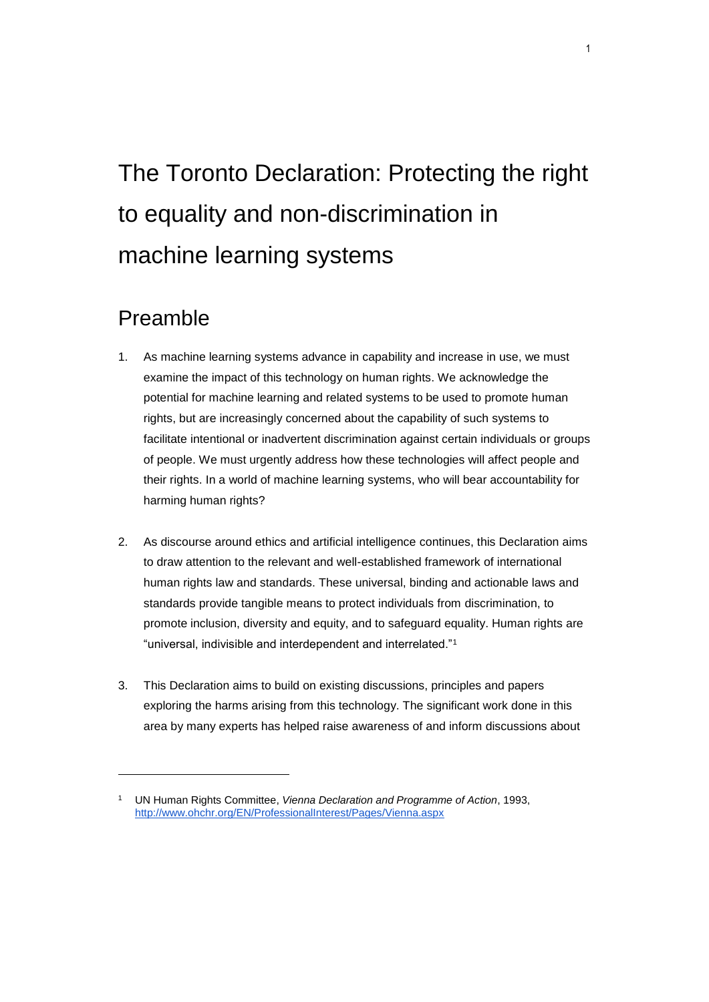# The Toronto Declaration: Protecting the right to equality and non-discrimination in machine learning systems

# Preamble

- 1. As machine learning systems advance in capability and increase in use, we must examine the impact of this technology on human rights. We acknowledge the potential for machine learning and related systems to be used to promote human rights, but are increasingly concerned about the capability of such systems to facilitate intentional or inadvertent discrimination against certain individuals or groups of people. We must urgently address how these technologies will affect people and their rights. In a world of machine learning systems, who will bear accountability for harming human rights?
- 2. As discourse around ethics and artificial intelligence continues, this Declaration aims to draw attention to the relevant and well-established framework of international human rights law and standards. These universal, binding and actionable laws and standards provide tangible means to protect individuals from discrimination, to promote inclusion, diversity and equity, and to safeguard equality. Human rights are "universal, indivisible and interdependent and interrelated."<sup>1</sup>
- 3. This Declaration aims to build on existing discussions, principles and papers exploring the harms arising from this technology. The significant work done in this area by many experts has helped raise awareness of and inform discussions about

<sup>1</sup> UN Human Rights Committee, *Vienna Declaration and Programme of Action*, 1993, <http://www.ohchr.org/EN/ProfessionalInterest/Pages/Vienna.aspx>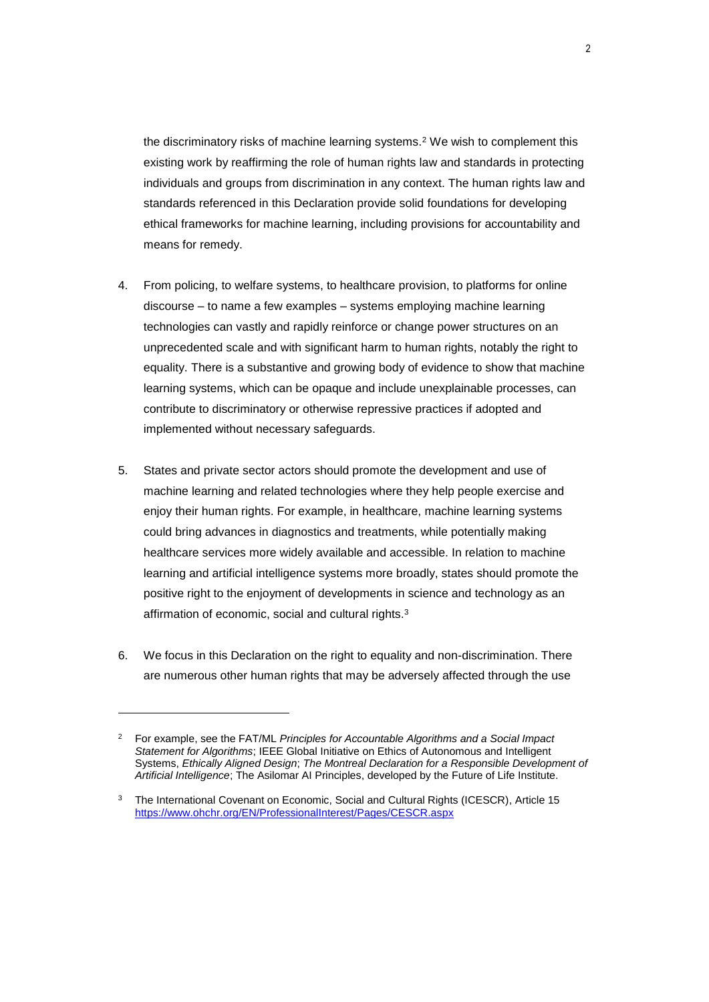the discriminatory risks of machine learning systems.<sup>2</sup> We wish to complement this existing work by reaffirming the role of human rights law and standards in protecting individuals and groups from discrimination in any context. The human rights law and standards referenced in this Declaration provide solid foundations for developing ethical frameworks for machine learning, including provisions for accountability and means for remedy.

- 4. From policing, to welfare systems, to healthcare provision, to platforms for online discourse – to name a few examples – systems employing machine learning technologies can vastly and rapidly reinforce or change power structures on an unprecedented scale and with significant harm to human rights, notably the right to equality. There is a substantive and growing body of evidence to show that machine learning systems, which can be opaque and include unexplainable processes, can contribute to discriminatory or otherwise repressive practices if adopted and implemented without necessary safeguards.
- 5. States and private sector actors should promote the development and use of machine learning and related technologies where they help people exercise and enjoy their human rights. For example, in healthcare, machine learning systems could bring advances in diagnostics and treatments, while potentially making healthcare services more widely available and accessible. In relation to machine learning and artificial intelligence systems more broadly, states should promote the positive right to the enjoyment of developments in science and technology as an affirmation of economic, social and cultural rights.<sup>3</sup>
- 6. We focus in this Declaration on the right to equality and non-discrimination. There are numerous other human rights that may be adversely affected through the use

<sup>2</sup> For example, see the FAT/ML *Principles for Accountable Algorithms and a Social Impact Statement for Algorithms*; IEEE Global Initiative on Ethics of Autonomous and Intelligent Systems, *Ethically Aligned Design*; *The Montreal Declaration for a Responsible Development of Artificial Intelligence*; The Asilomar AI Principles, developed by the Future of Life Institute.

<sup>3</sup> The International Covenant on Economic, Social and Cultural Rights (ICESCR), Article 15 <https://www.ohchr.org/EN/ProfessionalInterest/Pages/CESCR.aspx>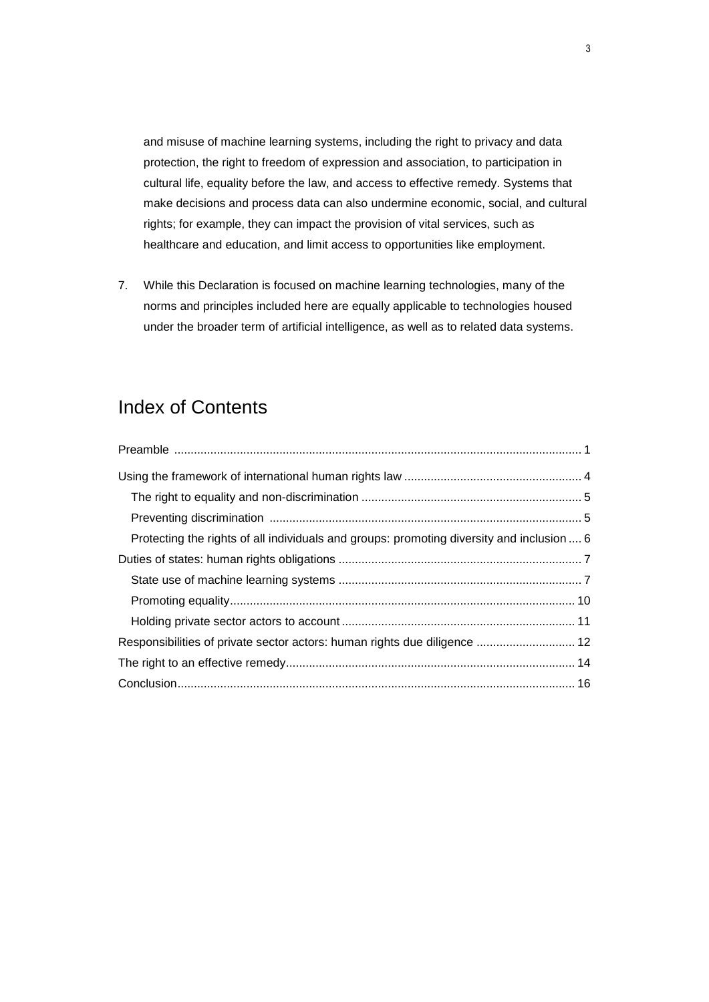and misuse of machine learning systems, including the right to privacy and data protection, the right to freedom of expression and association, to participation in cultural life, equality before the law, and access to effective remedy. Systems that make decisions and process data can also undermine economic, social, and cultural rights; for example, they can impact the provision of vital services, such as healthcare and education, and limit access to opportunities like employment.

7. While this Declaration is focused on machine learning technologies, many of the norms and principles included here are equally applicable to technologies housed under the broader term of artificial intelligence, as well as to related data systems.

### Index of Contents

| Protecting the rights of all individuals and groups: promoting diversity and inclusion  6 |  |
|-------------------------------------------------------------------------------------------|--|
|                                                                                           |  |
|                                                                                           |  |
|                                                                                           |  |
|                                                                                           |  |
| Responsibilities of private sector actors: human rights due diligence  12                 |  |
|                                                                                           |  |
|                                                                                           |  |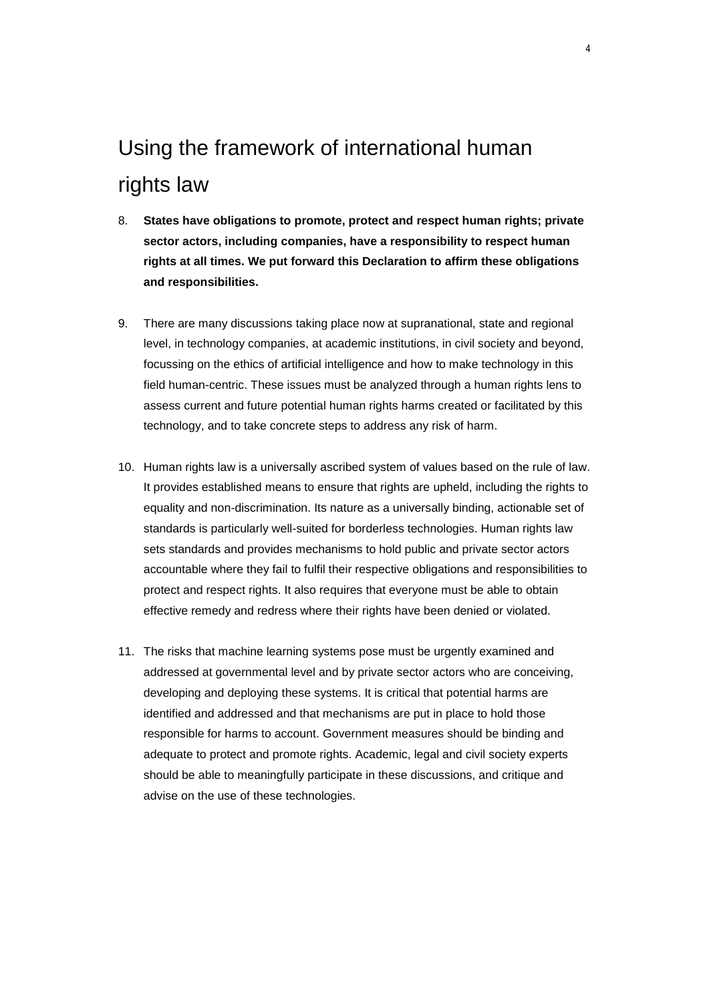# Using the framework of international human rights law

- 8. **States have obligations to promote, protect and respect human rights; private sector actors, including companies, have a responsibility to respect human rights at all times. We put forward this Declaration to affirm these obligations and responsibilities.**
- 9. There are many discussions taking place now at supranational, state and regional level, in technology companies, at academic institutions, in civil society and beyond, focussing on the ethics of artificial intelligence and how to make technology in this field human-centric. These issues must be analyzed through a human rights lens to assess current and future potential human rights harms created or facilitated by this technology, and to take concrete steps to address any risk of harm.
- 10. Human rights law is a universally ascribed system of values based on the rule of law. It provides established means to ensure that rights are upheld, including the rights to equality and non-discrimination. Its nature as a universally binding, actionable set of standards is particularly well-suited for borderless technologies. Human rights law sets standards and provides mechanisms to hold public and private sector actors accountable where they fail to fulfil their respective obligations and responsibilities to protect and respect rights. It also requires that everyone must be able to obtain effective remedy and redress where their rights have been denied or violated.
- 11. The risks that machine learning systems pose must be urgently examined and addressed at governmental level and by private sector actors who are conceiving, developing and deploying these systems. It is critical that potential harms are identified and addressed and that mechanisms are put in place to hold those responsible for harms to account. Government measures should be binding and adequate to protect and promote rights. Academic, legal and civil society experts should be able to meaningfully participate in these discussions, and critique and advise on the use of these technologies.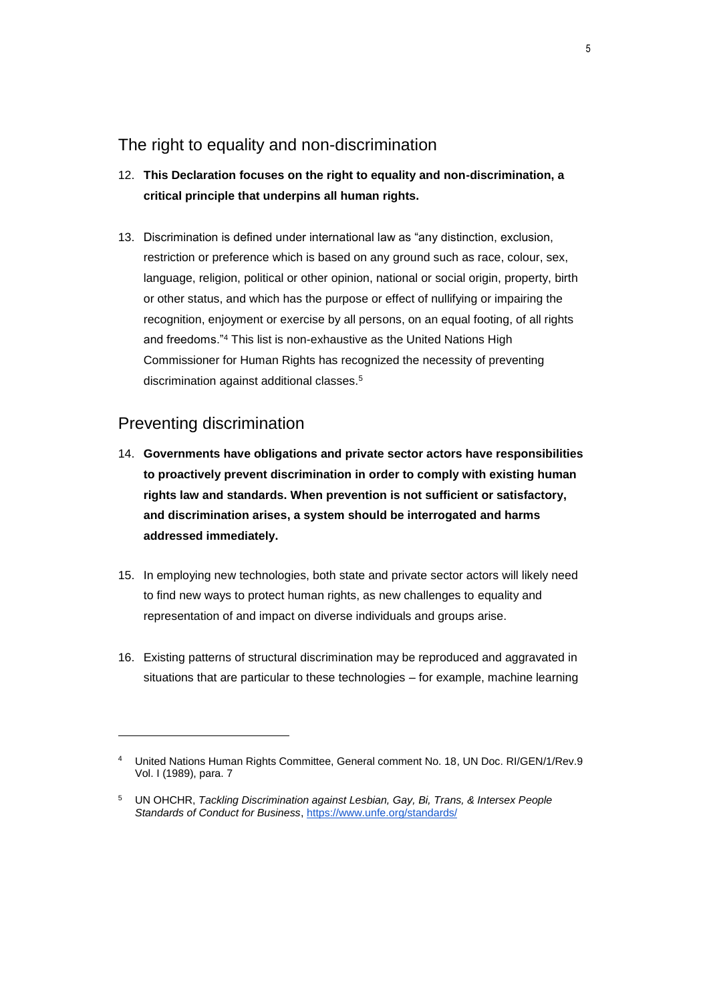### The right to equality and non-discrimination

- 12. **This Declaration focuses on the right to equality and non-discrimination, a critical principle that underpins all human rights.**
- 13. Discrimination is defined under international law as "any distinction, exclusion, restriction or preference which is based on any ground such as race, colour, sex, language, religion, political or other opinion, national or social origin, property, birth or other status, and which has the purpose or effect of nullifying or impairing the recognition, enjoyment or exercise by all persons, on an equal footing, of all rights and freedoms."<sup>4</sup> This list is non-exhaustive as the United Nations High Commissioner for Human Rights has recognized the necessity of preventing discrimination against additional classes.<sup>5</sup>

### Preventing discrimination

- 14. **Governments have obligations and private sector actors have responsibilities to proactively prevent discrimination in order to comply with existing human rights law and standards. When prevention is not sufficient or satisfactory, and discrimination arises, a system should be interrogated and harms addressed immediately.**
- 15. In employing new technologies, both state and private sector actors will likely need to find new ways to protect human rights, as new challenges to equality and representation of and impact on diverse individuals and groups arise.
- 16. Existing patterns of structural discrimination may be reproduced and aggravated in situations that are particular to these technologies – for example, machine learning

<sup>4</sup> United Nations Human Rights Committee, General comment No. 18, UN Doc. RI/GEN/1/Rev.9 Vol. I (1989), para. 7

<sup>5</sup> UN OHCHR, *Tackling Discrimination against Lesbian, Gay, Bi, Trans, & Intersex People Standards of Conduct for Business*, <https://www.unfe.org/standards/>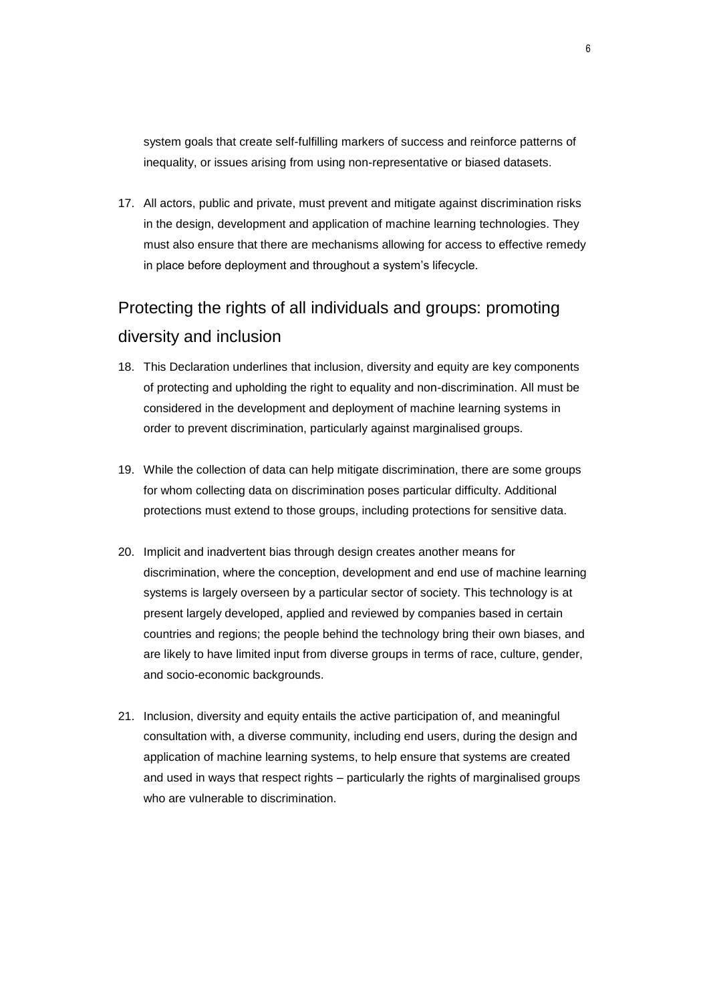system goals that create self-fulfilling markers of success and reinforce patterns of inequality, or issues arising from using non-representative or biased datasets.

17. All actors, public and private, must prevent and mitigate against discrimination risks in the design, development and application of machine learning technologies. They must also ensure that there are mechanisms allowing for access to effective remedy in place before deployment and throughout a system's lifecycle.

# Protecting the rights of all individuals and groups: promoting diversity and inclusion

- 18. This Declaration underlines that inclusion, diversity and equity are key components of protecting and upholding the right to equality and non-discrimination. All must be considered in the development and deployment of machine learning systems in order to prevent discrimination, particularly against marginalised groups.
- 19. While the collection of data can help mitigate discrimination, there are some groups for whom collecting data on discrimination poses particular difficulty. Additional protections must extend to those groups, including protections for sensitive data.
- 20. Implicit and inadvertent bias through design creates another means for discrimination, where the conception, development and end use of machine learning systems is largely overseen by a particular sector of society. This technology is at present largely developed, applied and reviewed by companies based in certain countries and regions; the people behind the technology bring their own biases, and are likely to have limited input from diverse groups in terms of race, culture, gender, and socio-economic backgrounds.
- 21. Inclusion, diversity and equity entails the active participation of, and meaningful consultation with, a diverse community, including end users, during the design and application of machine learning systems, to help ensure that systems are created and used in ways that respect rights – particularly the rights of marginalised groups who are vulnerable to discrimination.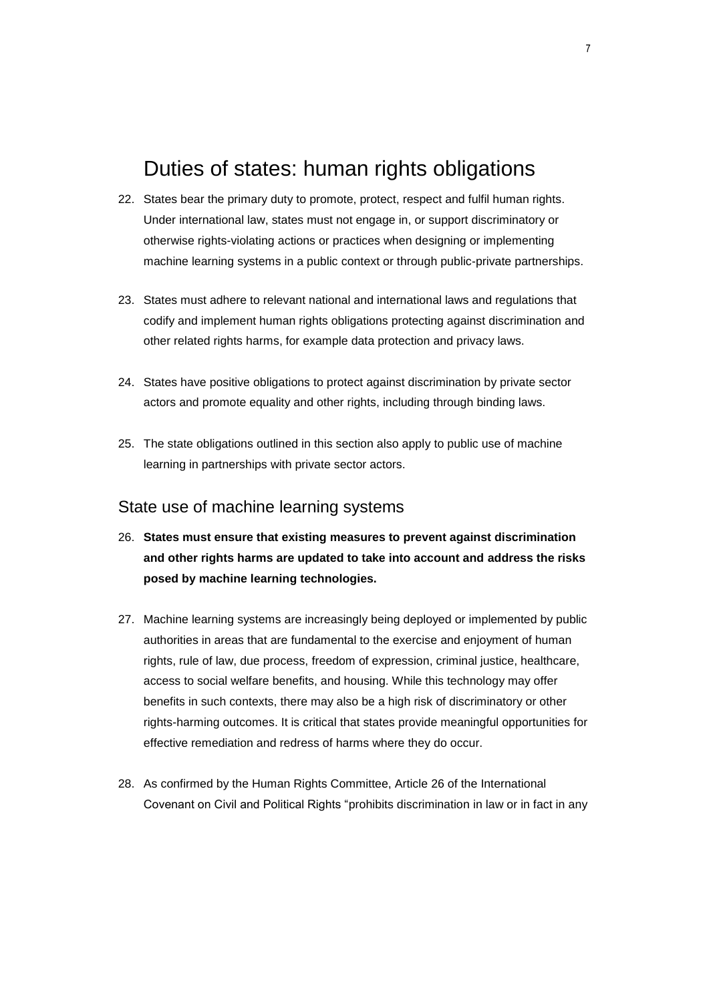## Duties of states: human rights obligations

- 22. States bear the primary duty to promote, protect, respect and fulfil human rights. Under international law, states must not engage in, or support discriminatory or otherwise rights-violating actions or practices when designing or implementing machine learning systems in a public context or through public-private partnerships.
- 23. States must adhere to relevant national and international laws and regulations that codify and implement human rights obligations protecting against discrimination and other related rights harms, for example data protection and privacy laws.
- 24. States have positive obligations to protect against discrimination by private sector actors and promote equality and other rights, including through binding laws.
- 25. The state obligations outlined in this section also apply to public use of machine learning in partnerships with private sector actors.

### State use of machine learning systems

- 26. **States must ensure that existing measures to prevent against discrimination and other rights harms are updated to take into account and address the risks posed by machine learning technologies.**
- 27. Machine learning systems are increasingly being deployed or implemented by public authorities in areas that are fundamental to the exercise and enjoyment of human rights, rule of law, due process, freedom of expression, criminal justice, healthcare, access to social welfare benefits, and housing. While this technology may offer benefits in such contexts, there may also be a high risk of discriminatory or other rights-harming outcomes. It is critical that states provide meaningful opportunities for effective remediation and redress of harms where they do occur.
- 28. As confirmed by the Human Rights Committee, Article 26 of the International Covenant on Civil and Political Rights "prohibits discrimination in law or in fact in any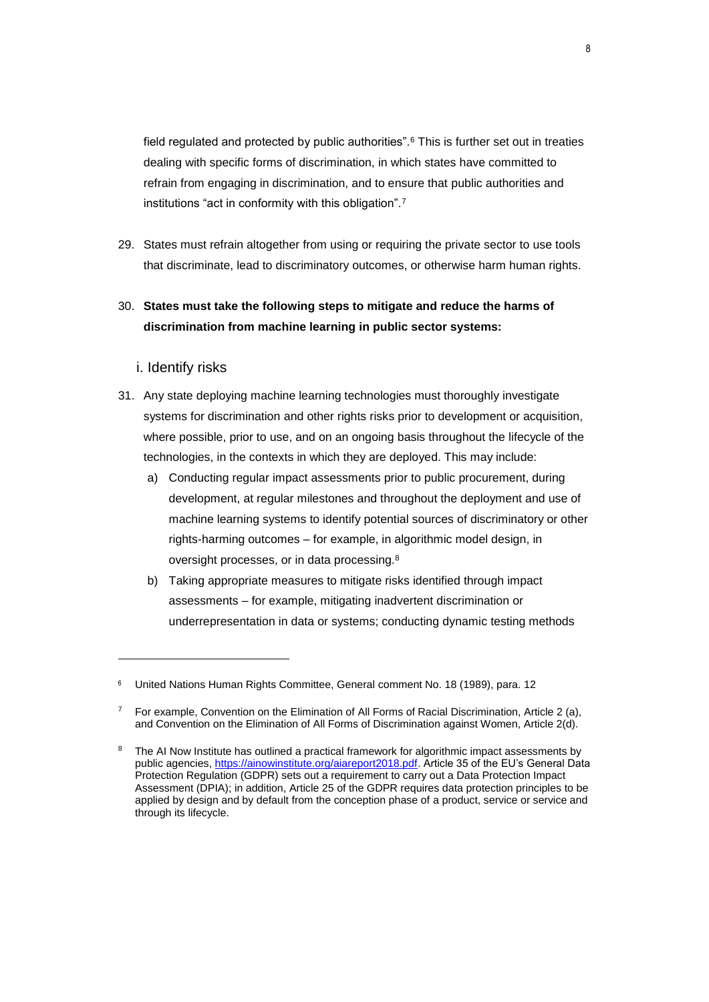field regulated and protected by public authorities".<sup>6</sup> This is further set out in treaties dealing with specific forms of discrimination, in which states have committed to refrain from engaging in discrimination, and to ensure that public authorities and institutions "act in conformity with this obligation".<sup>7</sup>

29. States must refrain altogether from using or requiring the private sector to use tools that discriminate, lead to discriminatory outcomes, or otherwise harm human rights.

### 30. **States must take the following steps to mitigate and reduce the harms of discrimination from machine learning in public sector systems:**

#### i. Identify risks

- 31. Any state deploying machine learning technologies must thoroughly investigate systems for discrimination and other rights risks prior to development or acquisition, where possible, prior to use, and on an ongoing basis throughout the lifecycle of the technologies, in the contexts in which they are deployed. This may include:
	- a) Conducting regular impact assessments prior to public procurement, during development, at regular milestones and throughout the deployment and use of machine learning systems to identify potential sources of discriminatory or other rights-harming outcomes – for example, in algorithmic model design, in oversight processes, or in data processing.<sup>8</sup>
	- b) Taking appropriate measures to mitigate risks identified through impact assessments – for example, mitigating inadvertent discrimination or underrepresentation in data or systems; conducting dynamic testing methods

<sup>6</sup> United Nations Human Rights Committee, General comment No. 18 (1989), para. 12

<sup>&</sup>lt;sup>7</sup> For example, Convention on the Elimination of All Forms of Racial Discrimination, Article 2 (a), and Convention on the Elimination of All Forms of Discrimination against Women, Article 2(d).

<sup>&</sup>lt;sup>8</sup> The AI Now Institute has outlined a practical framework for algorithmic impact assessments by public agencies[, https://ainowinstitute.org/aiareport2018.pdf.](https://ainowinstitute.org/aiareport2018.pdf) Article 35 of the EU's General Data Protection Regulation (GDPR) sets out a requirement to carry out a Data Protection Impact Assessment (DPIA); in addition, Article 25 of the GDPR requires data protection principles to be applied by design and by default from the conception phase of a product, service or service and through its lifecycle.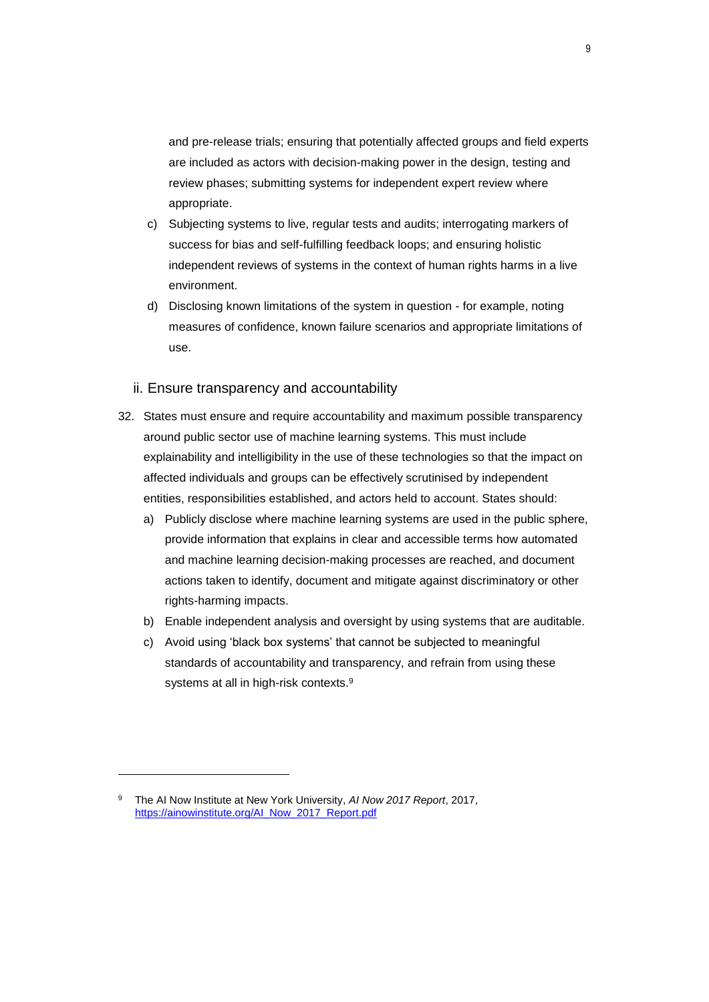and pre-release trials; ensuring that potentially affected groups and field experts are included as actors with decision-making power in the design, testing and review phases; submitting systems for independent expert review where appropriate.

- c) Subjecting systems to live, regular tests and audits; interrogating markers of success for bias and self-fulfilling feedback loops; and ensuring holistic independent reviews of systems in the context of human rights harms in a live environment.
- d) Disclosing known limitations of the system in question for example, noting measures of confidence, known failure scenarios and appropriate limitations of use.
- ii. Ensure transparency and accountability
- 32. States must ensure and require accountability and maximum possible transparency around public sector use of machine learning systems. This must include explainability and intelligibility in the use of these technologies so that the impact on affected individuals and groups can be effectively scrutinised by independent entities, responsibilities established, and actors held to account. States should:
	- a) Publicly disclose where machine learning systems are used in the public sphere, provide information that explains in clear and accessible terms how automated and machine learning decision-making processes are reached, and document actions taken to identify, document and mitigate against discriminatory or other rights-harming impacts.
	- b) Enable independent analysis and oversight by using systems that are auditable.
	- c) Avoid using 'black box systems' that cannot be subjected to meaningful standards of accountability and transparency, and refrain from using these systems at all in high-risk contexts.<sup>9</sup>

<sup>9</sup> The AI Now Institute at New York University, *AI Now 2017 Report*, 2017, [https://ainowinstitute.org/AI\\_Now\\_2017\\_Report.pdf](https://ainowinstitute.org/AI_Now_2017_Report.pdf)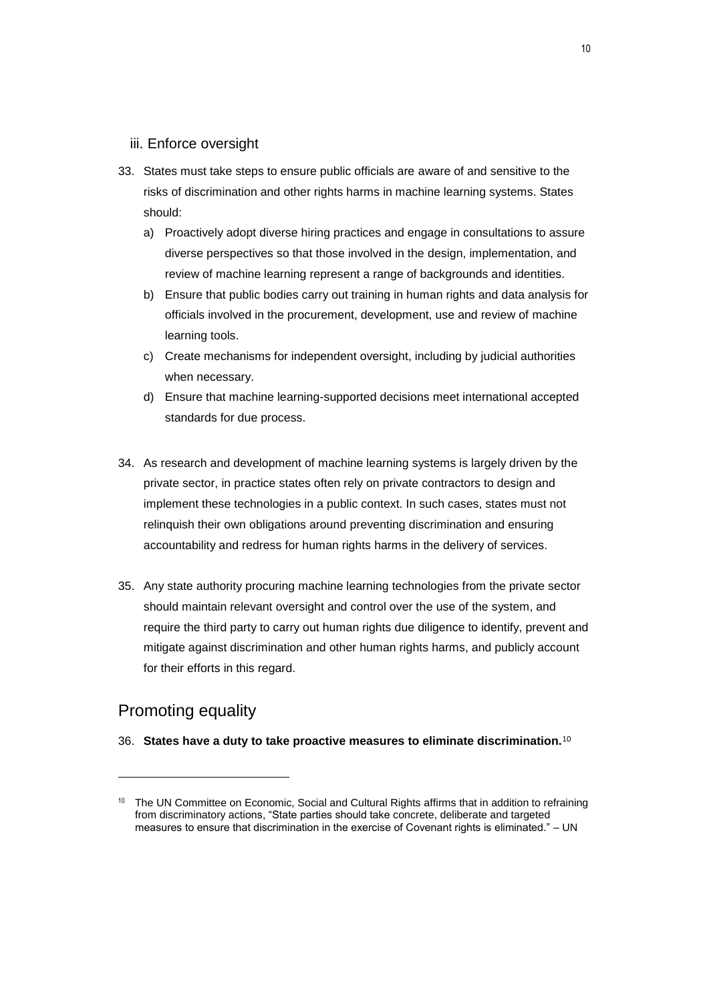#### iii. Enforce oversight

- 33. States must take steps to ensure public officials are aware of and sensitive to the risks of discrimination and other rights harms in machine learning systems. States should:
	- a) Proactively adopt diverse hiring practices and engage in consultations to assure diverse perspectives so that those involved in the design, implementation, and review of machine learning represent a range of backgrounds and identities.
	- b) Ensure that public bodies carry out training in human rights and data analysis for officials involved in the procurement, development, use and review of machine learning tools.
	- c) Create mechanisms for independent oversight, including by judicial authorities when necessary.
	- d) Ensure that machine learning-supported decisions meet international accepted standards for due process.
- 34. As research and development of machine learning systems is largely driven by the private sector, in practice states often rely on private contractors to design and implement these technologies in a public context. In such cases, states must not relinquish their own obligations around preventing discrimination and ensuring accountability and redress for human rights harms in the delivery of services.
- 35. Any state authority procuring machine learning technologies from the private sector should maintain relevant oversight and control over the use of the system, and require the third party to carry out human rights due diligence to identify, prevent and mitigate against discrimination and other human rights harms, and publicly account for their efforts in this regard.

### Promoting equality

1

#### 36. **States have a duty to take proactive measures to eliminate discrimination.**<sup>10</sup>

<sup>&</sup>lt;sup>10</sup> The UN Committee on Economic, Social and Cultural Rights affirms that in addition to refraining from discriminatory actions, "State parties should take concrete, deliberate and targeted measures to ensure that discrimination in the exercise of Covenant rights is eliminated." – UN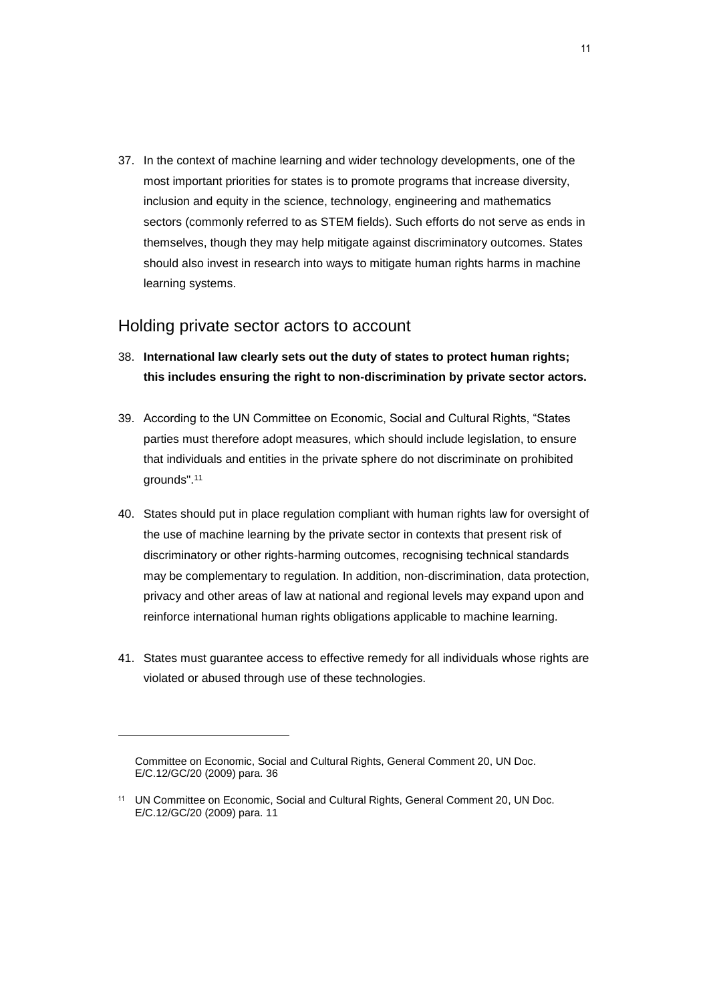37. In the context of machine learning and wider technology developments, one of the most important priorities for states is to promote programs that increase diversity, inclusion and equity in the science, technology, engineering and mathematics sectors (commonly referred to as STEM fields). Such efforts do not serve as ends in themselves, though they may help mitigate against discriminatory outcomes. States should also invest in research into ways to mitigate human rights harms in machine learning systems.

#### Holding private sector actors to account

- 38. **International law clearly sets out the duty of states to protect human rights; this includes ensuring the right to non-discrimination by private sector actors.**
- 39. According to the UN Committee on Economic, Social and Cultural Rights, "States parties must therefore adopt measures, which should include legislation, to ensure that individuals and entities in the private sphere do not discriminate on prohibited grounds".<sup>11</sup>
- 40. States should put in place regulation compliant with human rights law for oversight of the use of machine learning by the private sector in contexts that present risk of discriminatory or other rights-harming outcomes, recognising technical standards may be complementary to regulation. In addition, non-discrimination, data protection, privacy and other areas of law at national and regional levels may expand upon and reinforce international human rights obligations applicable to machine learning.
- 41. States must guarantee access to effective remedy for all individuals whose rights are violated or abused through use of these technologies.

Committee on Economic, Social and Cultural Rights, General Comment 20, UN Doc. E/C.12/GC/20 (2009) para. 36

<sup>&</sup>lt;sup>11</sup> UN Committee on Economic, Social and Cultural Rights, General Comment 20, UN Doc. E/C.12/GC/20 (2009) para. 11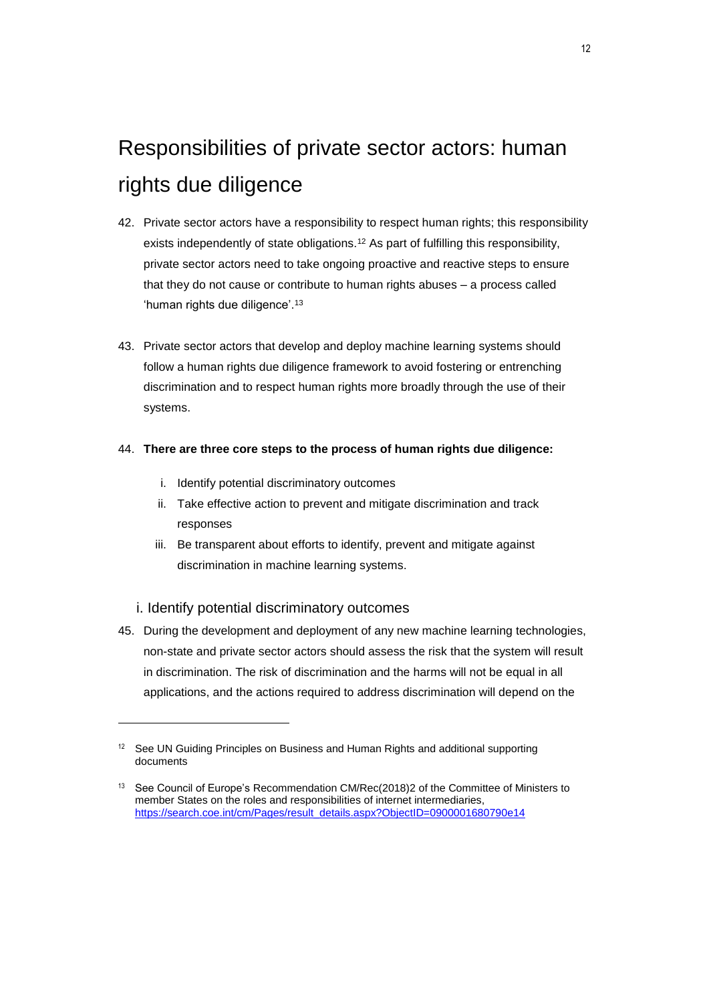# Responsibilities of private sector actors: human rights due diligence

- 42. Private sector actors have a responsibility to respect human rights; this responsibility exists independently of state obligations.<sup>12</sup> As part of fulfilling this responsibility, private sector actors need to take ongoing proactive and reactive steps to ensure that they do not cause or contribute to human rights abuses – a process called 'human rights due diligence'.<sup>13</sup>
- 43. Private sector actors that develop and deploy machine learning systems should follow a human rights due diligence framework to avoid fostering or entrenching discrimination and to respect human rights more broadly through the use of their systems.

#### 44. **There are three core steps to the process of human rights due diligence:**

- i. Identify potential discriminatory outcomes
- ii. Take effective action to prevent and mitigate discrimination and track responses
- iii. Be transparent about efforts to identify, prevent and mitigate against discrimination in machine learning systems.
- i. Identify potential discriminatory outcomes

1

45. During the development and deployment of any new machine learning technologies, non-state and private sector actors should assess the risk that the system will result in discrimination. The risk of discrimination and the harms will not be equal in all applications, and the actions required to address discrimination will depend on the

<sup>&</sup>lt;sup>12</sup> See UN Guiding Principles on Business and Human Rights and additional supporting documents

<sup>&</sup>lt;sup>13</sup> See Council of Europe's Recommendation CM/Rec(2018)2 of the Committee of Ministers to member States on the roles and responsibilities of internet intermediaries, [https://search.coe.int/cm/Pages/result\\_details.aspx?ObjectID=0900001680790e14](https://search.coe.int/cm/Pages/result_details.aspx?ObjectID=0900001680790e14)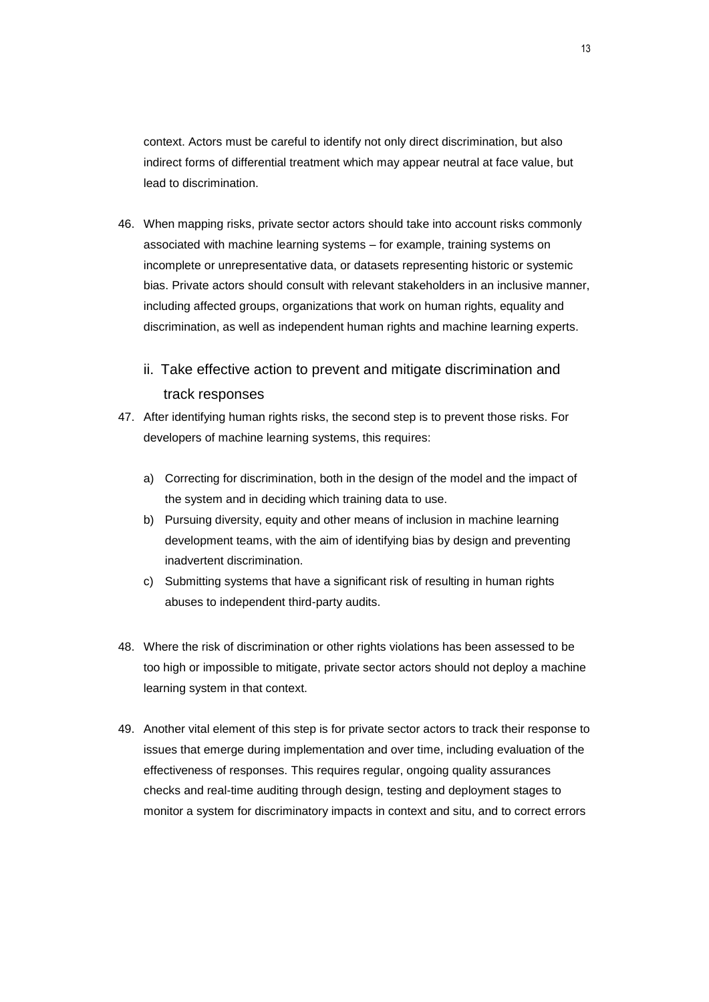context. Actors must be careful to identify not only direct discrimination, but also indirect forms of differential treatment which may appear neutral at face value, but lead to discrimination.

- 46. When mapping risks, private sector actors should take into account risks commonly associated with machine learning systems – for example, training systems on incomplete or unrepresentative data, or datasets representing historic or systemic bias. Private actors should consult with relevant stakeholders in an inclusive manner, including affected groups, organizations that work on human rights, equality and discrimination, as well as independent human rights and machine learning experts.
	- ii. Take effective action to prevent and mitigate discrimination and track responses
- 47. After identifying human rights risks, the second step is to prevent those risks. For developers of machine learning systems, this requires:
	- a) Correcting for discrimination, both in the design of the model and the impact of the system and in deciding which training data to use.
	- b) Pursuing diversity, equity and other means of inclusion in machine learning development teams, with the aim of identifying bias by design and preventing inadvertent discrimination.
	- c) Submitting systems that have a significant risk of resulting in human rights abuses to independent third-party audits.
- 48. Where the risk of discrimination or other rights violations has been assessed to be too high or impossible to mitigate, private sector actors should not deploy a machine learning system in that context.
- 49. Another vital element of this step is for private sector actors to track their response to issues that emerge during implementation and over time, including evaluation of the effectiveness of responses. This requires regular, ongoing quality assurances checks and real-time auditing through design, testing and deployment stages to monitor a system for discriminatory impacts in context and situ, and to correct errors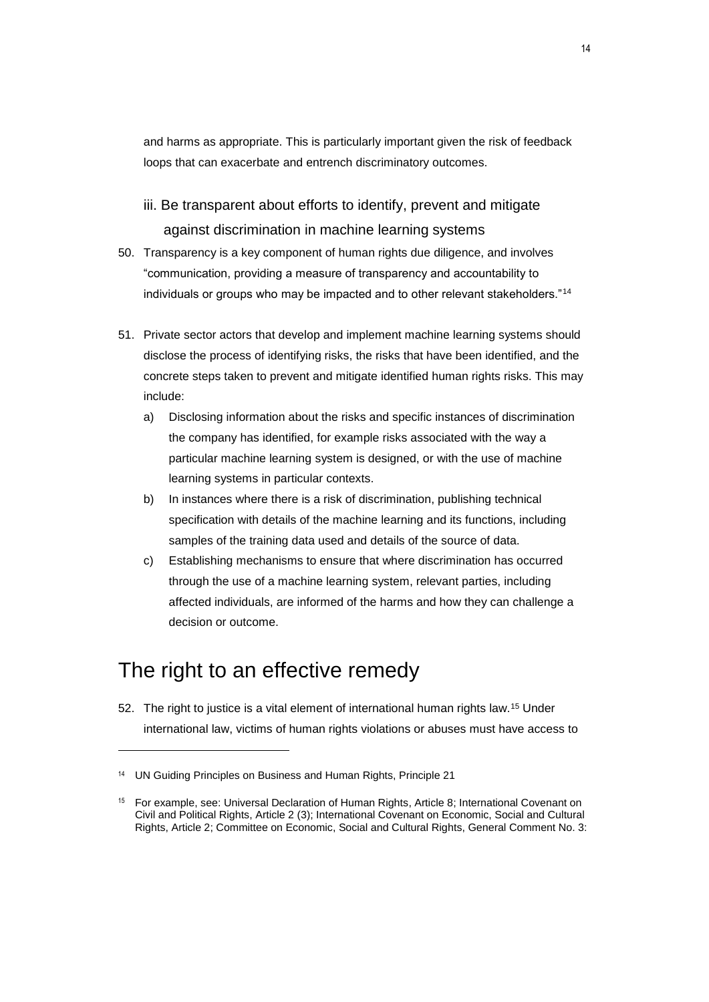and harms as appropriate. This is particularly important given the risk of feedback loops that can exacerbate and entrench discriminatory outcomes.

- iii. Be transparent about efforts to identify, prevent and mitigate against discrimination in machine learning systems
- 50. Transparency is a key component of human rights due diligence, and involves "communication, providing a measure of transparency and accountability to individuals or groups who may be impacted and to other relevant stakeholders."<sup>14</sup>
- 51. Private sector actors that develop and implement machine learning systems should disclose the process of identifying risks, the risks that have been identified, and the concrete steps taken to prevent and mitigate identified human rights risks. This may include:
	- a) Disclosing information about the risks and specific instances of discrimination the company has identified, for example risks associated with the way a particular machine learning system is designed, or with the use of machine learning systems in particular contexts.
	- b) In instances where there is a risk of discrimination, publishing technical specification with details of the machine learning and its functions, including samples of the training data used and details of the source of data.
	- c) Establishing mechanisms to ensure that where discrimination has occurred through the use of a machine learning system, relevant parties, including affected individuals, are informed of the harms and how they can challenge a decision or outcome.

# The right to an effective remedy

j

52. The right to justice is a vital element of international human rights law.<sup>15</sup> Under international law, victims of human rights violations or abuses must have access to

<sup>14</sup> UN Guiding Principles on Business and Human Rights, Principle 21

<sup>&</sup>lt;sup>15</sup> For example, see: Universal Declaration of Human Rights, Article 8; International Covenant on Civil and Political Rights, Article 2 (3); International Covenant on Economic, Social and Cultural Rights, Article 2; Committee on Economic, Social and Cultural Rights, General Comment No. 3: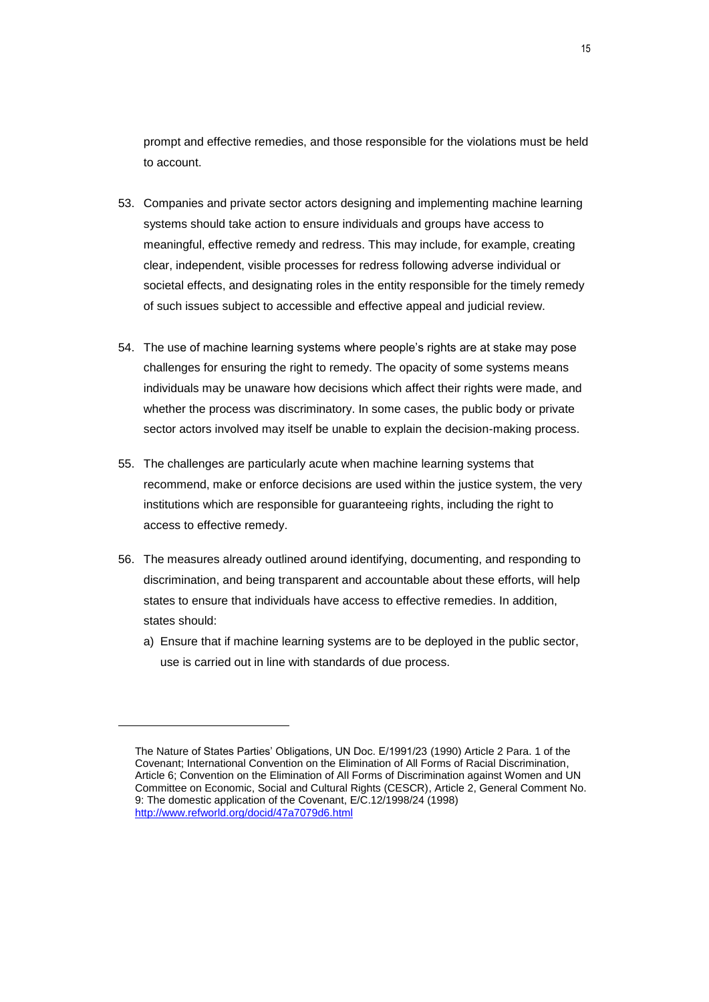prompt and effective remedies, and those responsible for the violations must be held to account.

- 53. Companies and private sector actors designing and implementing machine learning systems should take action to ensure individuals and groups have access to meaningful, effective remedy and redress. This may include, for example, creating clear, independent, visible processes for redress following adverse individual or societal effects, and designating roles in the entity responsible for the timely remedy of such issues subject to accessible and effective appeal and judicial review.
- 54. The use of machine learning systems where people's rights are at stake may pose challenges for ensuring the right to remedy. The opacity of some systems means individuals may be unaware how decisions which affect their rights were made, and whether the process was discriminatory. In some cases, the public body or private sector actors involved may itself be unable to explain the decision-making process.
- 55. The challenges are particularly acute when machine learning systems that recommend, make or enforce decisions are used within the justice system, the very institutions which are responsible for guaranteeing rights, including the right to access to effective remedy.
- 56. The measures already outlined around identifying, documenting, and responding to discrimination, and being transparent and accountable about these efforts, will help states to ensure that individuals have access to effective remedies. In addition, states should:
	- a) Ensure that if machine learning systems are to be deployed in the public sector, use is carried out in line with standards of due process.

 $\overline{a}$ 

The Nature of States Parties' Obligations, UN Doc. E/1991/23 (1990) Article 2 Para. 1 of the Covenant; International Convention on the Elimination of All Forms of Racial Discrimination, Article 6; Convention on the Elimination of All Forms of Discrimination against Women and UN Committee on Economic, Social and Cultural Rights (CESCR), Article 2, General Comment No. 9: The domestic application of the Covenant, E/C.12/1998/24 (1998) <http://www.refworld.org/docid/47a7079d6.html>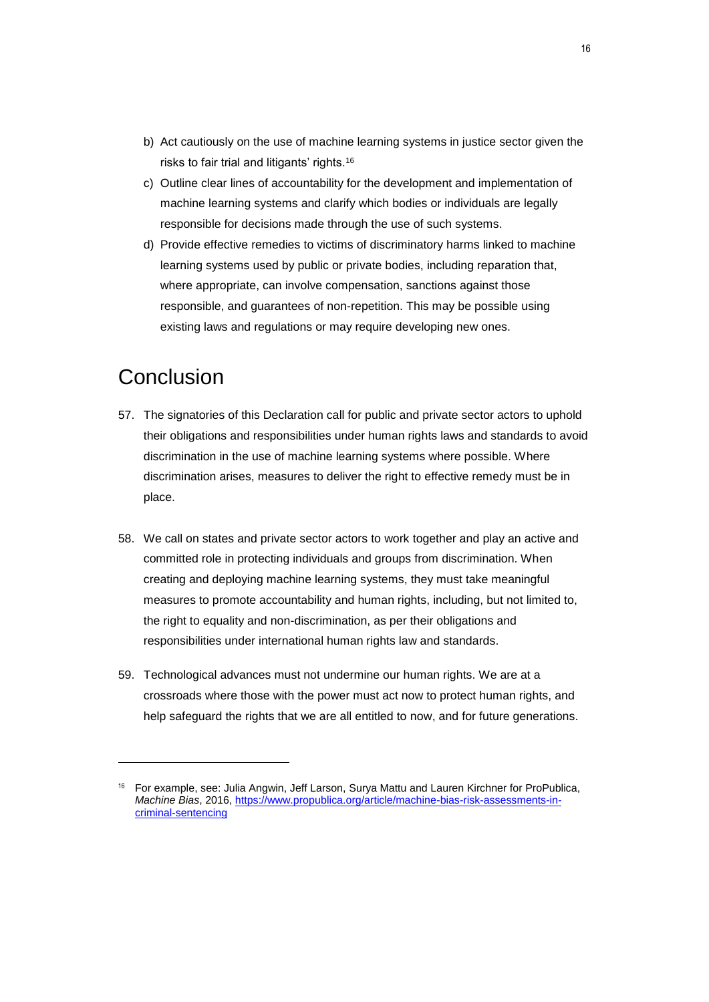- b) Act cautiously on the use of machine learning systems in justice sector given the risks to fair trial and litigants' rights.<sup>16</sup>
- c) Outline clear lines of accountability for the development and implementation of machine learning systems and clarify which bodies or individuals are legally responsible for decisions made through the use of such systems.
- d) Provide effective remedies to victims of discriminatory harms linked to machine learning systems used by public or private bodies, including reparation that, where appropriate, can involve compensation, sanctions against those responsible, and guarantees of non-repetition. This may be possible using existing laws and regulations or may require developing new ones.

# **Conclusion**

- 57. The signatories of this Declaration call for public and private sector actors to uphold their obligations and responsibilities under human rights laws and standards to avoid discrimination in the use of machine learning systems where possible. Where discrimination arises, measures to deliver the right to effective remedy must be in place.
- 58. We call on states and private sector actors to work together and play an active and committed role in protecting individuals and groups from discrimination. When creating and deploying machine learning systems, they must take meaningful measures to promote accountability and human rights, including, but not limited to, the right to equality and non-discrimination, as per their obligations and responsibilities under international human rights law and standards.
- 59. Technological advances must not undermine our human rights. We are at a crossroads where those with the power must act now to protect human rights, and help safeguard the rights that we are all entitled to now, and for future generations.

<sup>&</sup>lt;sup>16</sup> For example, see: Julia Angwin, Jeff Larson, Surya Mattu and Lauren Kirchner for ProPublica, *Machine Bias*, 2016[, https://www.propublica.org/article/machine-bias-risk-assessments-in](https://www.propublica.org/article/machine-bias-risk-assessments-in-criminal-sentencing)[criminal-sentencing](https://www.propublica.org/article/machine-bias-risk-assessments-in-criminal-sentencing)